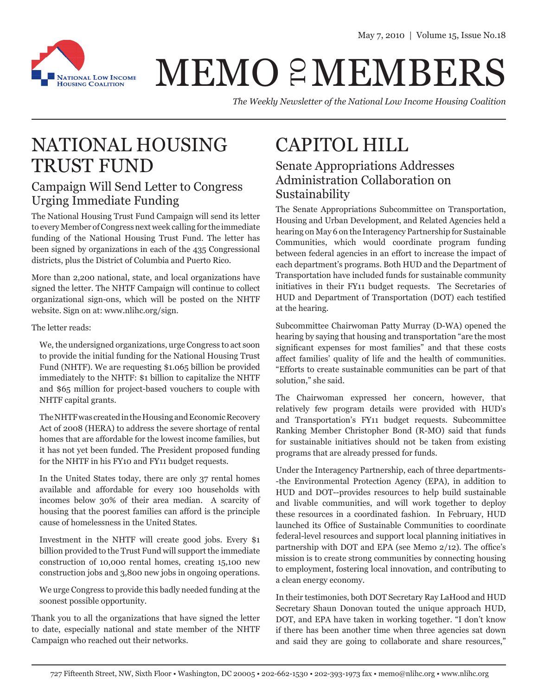

## MEMO 2 MEMBERS

*The Weekly Newsletter of the National Low Income Housing Coalition*

### NATIONAL HOUSING TRUST FUND

#### Campaign Will Send Letter to Congress Urging Immediate Funding

The National Housing Trust Fund Campaign will send its letter to every Member of Congress next week calling for the immediate funding of the National Housing Trust Fund. The letter has been signed by organizations in each of the 435 Congressional districts, plus the District of Columbia and Puerto Rico.

More than 2,200 national, state, and local organizations have signed the letter. The NHTF Campaign will continue to collect organizational sign-ons, which will be posted on the NHTF website. Sign on at: www.nlihc.org/sign.

#### The letter reads:

We, the undersigned organizations, urge Congress to act soon to provide the initial funding for the National Housing Trust Fund (NHTF). We are requesting \$1.065 billion be provided immediately to the NHTF: \$1 billion to capitalize the NHTF and \$65 million for project-based vouchers to couple with NHTF capital grants.

The NHTF was created in the Housing and Economic Recovery Act of 2008 (HERA) to address the severe shortage of rental homes that are affordable for the lowest income families, but it has not yet been funded. The President proposed funding for the NHTF in his FY10 and FY11 budget requests.

In the United States today, there are only 37 rental homes available and affordable for every 100 households with incomes below 30% of their area median. A scarcity of housing that the poorest families can afford is the principle cause of homelessness in the United States.

Investment in the NHTF will create good jobs. Every \$1 billion provided to the Trust Fund will support the immediate construction of 10,000 rental homes, creating 15,100 new construction jobs and 3,800 new jobs in ongoing operations.

We urge Congress to provide this badly needed funding at the soonest possible opportunity.

Thank you to all the organizations that have signed the letter to date, especially national and state member of the NHTF Campaign who reached out their networks.

## CAPITOL HILL

#### Senate Appropriations Addresses Administration Collaboration on Sustainability

The Senate Appropriations Subcommittee on Transportation, Housing and Urban Development, and Related Agencies held a hearing on May 6 on the Interagency Partnership for Sustainable Communities, which would coordinate program funding between federal agencies in an effort to increase the impact of each department's programs. Both HUD and the Department of Transportation have included funds for sustainable community initiatives in their FY11 budget requests. The Secretaries of HUD and Department of Transportation (DOT) each testified at the hearing.

Subcommittee Chairwoman Patty Murray (D-WA) opened the hearing by saying that housing and transportation "are the most significant expenses for most families" and that these costs affect families' quality of life and the health of communities. "Efforts to create sustainable communities can be part of that solution," she said.

The Chairwoman expressed her concern, however, that relatively few program details were provided with HUD's and Transportation's FY11 budget requests. Subcommittee Ranking Member Christopher Bond (R-MO) said that funds for sustainable initiatives should not be taken from existing programs that are already pressed for funds.

Under the Interagency Partnership, each of three departments- -the Environmental Protection Agency (EPA), in addition to HUD and DOT--provides resources to help build sustainable and livable communities, and will work together to deploy these resources in a coordinated fashion. In February, HUD launched its Office of Sustainable Communities to coordinate federal-level resources and support local planning initiatives in partnership with DOT and EPA (see Memo 2/12). The office's mission is to create strong communities by connecting housing to employment, fostering local innovation, and contributing to a clean energy economy.

In their testimonies, both DOT Secretary Ray LaHood and HUD Secretary Shaun Donovan touted the unique approach HUD, DOT, and EPA have taken in working together. "I don't know if there has been another time when three agencies sat down and said they are going to collaborate and share resources,"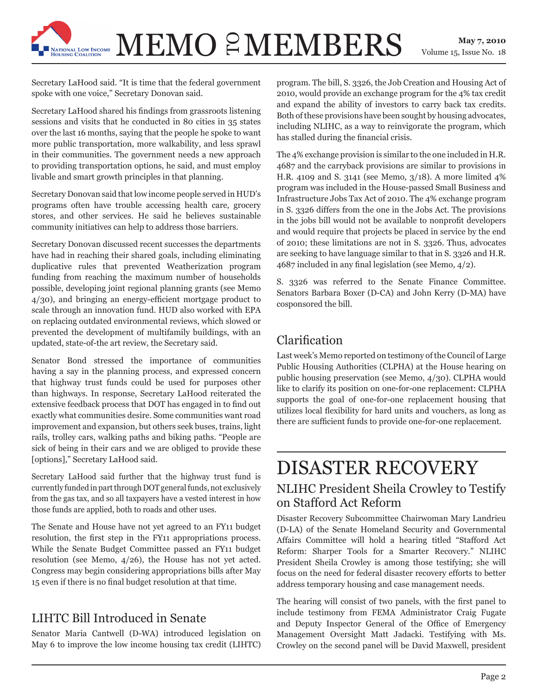# $\mathbf{MEMO} \ \mathcal{E}\mathbf{MEMBERS} \quad \substack{\text{May 7, 2010} \\ \text{Volume 15, Issue No. 18}}$

Volume 15, Issue No. 18

Secretary LaHood said. "It is time that the federal government spoke with one voice," Secretary Donovan said.

Secretary LaHood shared his findings from grassroots listening sessions and visits that he conducted in 80 cities in 35 states over the last 16 months, saying that the people he spoke to want more public transportation, more walkability, and less sprawl in their communities. The government needs a new approach to providing transportation options, he said, and must employ livable and smart growth principles in that planning.

Secretary Donovan said that low income people served in HUD's programs often have trouble accessing health care, grocery stores, and other services. He said he believes sustainable community initiatives can help to address those barriers.

Secretary Donovan discussed recent successes the departments have had in reaching their shared goals, including eliminating duplicative rules that prevented Weatherization program funding from reaching the maximum number of households possible, developing joint regional planning grants (see Memo 4/30), and bringing an energy-efficient mortgage product to scale through an innovation fund. HUD also worked with EPA on replacing outdated environmental reviews, which slowed or prevented the development of multifamily buildings, with an updated, state-of-the art review, the Secretary said.

Senator Bond stressed the importance of communities having a say in the planning process, and expressed concern that highway trust funds could be used for purposes other than highways. In response, Secretary LaHood reiterated the extensive feedback process that DOT has engaged in to find out exactly what communities desire. Some communities want road improvement and expansion, but others seek buses, trains, light rails, trolley cars, walking paths and biking paths. "People are sick of being in their cars and we are obliged to provide these [options]," Secretary LaHood said.

Secretary LaHood said further that the highway trust fund is currently funded in part through DOT general funds, not exclusively from the gas tax, and so all taxpayers have a vested interest in how those funds are applied, both to roads and other uses.

The Senate and House have not yet agreed to an FY11 budget resolution, the first step in the FY11 appropriations process. While the Senate Budget Committee passed an FY11 budget resolution (see Memo, 4/26), the House has not yet acted. Congress may begin considering appropriations bills after May 15 even if there is no final budget resolution at that time.

#### LIHTC Bill Introduced in Senate

Senator Maria Cantwell (D-WA) introduced legislation on May 6 to improve the low income housing tax credit (LIHTC) program. The bill, S. 3326, the Job Creation and Housing Act of 2010, would provide an exchange program for the 4% tax credit and expand the ability of investors to carry back tax credits. Both of these provisions have been sought by housing advocates, including NLIHC, as a way to reinvigorate the program, which has stalled during the financial crisis.

The 4% exchange provision is similar to the one included in H.R. 4687 and the carryback provisions are similar to provisions in H.R. 4109 and S. 3141 (see Memo, 3/18). A more limited 4% program was included in the House-passed Small Business and Infrastructure Jobs Tax Act of 2010. The 4% exchange program in S. 3326 differs from the one in the Jobs Act. The provisions in the jobs bill would not be available to nonprofit developers and would require that projects be placed in service by the end of 2010; these limitations are not in S. 3326. Thus, advocates are seeking to have language similar to that in S. 3326 and H.R. 4687 included in any final legislation (see Memo, 4/2).

S. 3326 was referred to the Senate Finance Committee. Senators Barbara Boxer (D-CA) and John Kerry (D-MA) have cosponsored the bill.

#### Clarification

Last week's Memo reported on testimony of the Council of Large Public Housing Authorities (CLPHA) at the House hearing on public housing preservation (see Memo, 4/30). CLPHA would like to clarify its position on one-for-one replacement: CLPHA supports the goal of one-for-one replacement housing that utilizes local flexibility for hard units and vouchers, as long as there are sufficient funds to provide one-for-one replacement.

## DISASTER RECOVERY

#### NLIHC President Sheila Crowley to Testify on Stafford Act Reform

Disaster Recovery Subcommittee Chairwoman Mary Landrieu (D-LA) of the Senate Homeland Security and Governmental Affairs Committee will hold a hearing titled "Stafford Act Reform: Sharper Tools for a Smarter Recovery." NLIHC President Sheila Crowley is among those testifying; she will focus on the need for federal disaster recovery efforts to better address temporary housing and case management needs.

The hearing will consist of two panels, with the first panel to include testimony from FEMA Administrator Craig Fugate and Deputy Inspector General of the Office of Emergency Management Oversight Matt Jadacki. Testifying with Ms. Crowley on the second panel will be David Maxwell, president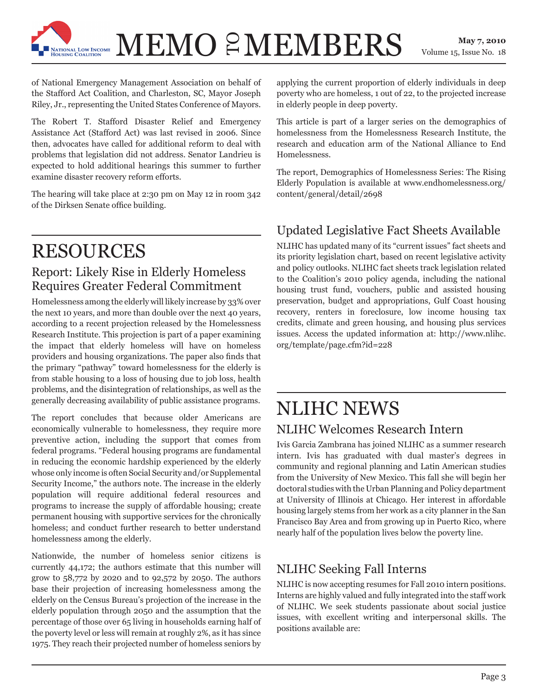

 $\mathbf{MEMO} \ \mathcal{E}\mathbf{MEMBERS} \quad \substack{\text{May 7, 2010} \\ \text{Volume 15, Issue No. 18}}$ 

of National Emergency Management Association on behalf of the Stafford Act Coalition, and Charleston, SC, Mayor Joseph Riley, Jr., representing the United States Conference of Mayors.

The Robert T. Stafford Disaster Relief and Emergency Assistance Act (Stafford Act) was last revised in 2006. Since then, advocates have called for additional reform to deal with problems that legislation did not address. Senator Landrieu is expected to hold additional hearings this summer to further examine disaster recovery reform efforts.

The hearing will take place at 2:30 pm on May 12 in room 342 of the Dirksen Senate office building.

## RESOURCES

#### Report: Likely Rise in Elderly Homeless Requires Greater Federal Commitment

Homelessness among the elderly will likely increase by 33% over the next 10 years, and more than double over the next 40 years, according to a recent projection released by the Homelessness Research Institute. This projection is part of a paper examining the impact that elderly homeless will have on homeless providers and housing organizations. The paper also finds that the primary "pathway" toward homelessness for the elderly is from stable housing to a loss of housing due to job loss, health problems, and the disintegration of relationships, as well as the generally decreasing availability of public assistance programs.

The report concludes that because older Americans are economically vulnerable to homelessness, they require more preventive action, including the support that comes from federal programs. "Federal housing programs are fundamental in reducing the economic hardship experienced by the elderly whose only income is often Social Security and/or Supplemental Security Income," the authors note. The increase in the elderly population will require additional federal resources and programs to increase the supply of affordable housing; create permanent housing with supportive services for the chronically homeless; and conduct further research to better understand homelessness among the elderly.

Nationwide, the number of homeless senior citizens is currently 44,172; the authors estimate that this number will grow to 58,772 by 2020 and to 92,572 by 2050. The authors base their projection of increasing homelessness among the elderly on the Census Bureau's projection of the increase in the elderly population through 2050 and the assumption that the percentage of those over 65 living in households earning half of the poverty level or less will remain at roughly 2%, as it has since 1975. They reach their projected number of homeless seniors by

applying the current proportion of elderly individuals in deep poverty who are homeless, 1 out of 22, to the projected increase in elderly people in deep poverty.

This article is part of a larger series on the demographics of homelessness from the Homelessness Research Institute, the research and education arm of the National Alliance to End Homelessness.

The report, Demographics of Homelessness Series: The Rising Elderly Population is available at www.endhomelessness.org/ content/general/detail/2698

#### Updated Legislative Fact Sheets Available

NLIHC has updated many of its "current issues" fact sheets and its priority legislation chart, based on recent legislative activity and policy outlooks. NLIHC fact sheets track legislation related to the Coalition's 2010 policy agenda, including the national housing trust fund, vouchers, public and assisted housing preservation, budget and appropriations, Gulf Coast housing recovery, renters in foreclosure, low income housing tax credits, climate and green housing, and housing plus services issues. Access the updated information at: http://www.nlihc. org/template/page.cfm?id=228

## NLIHC NEWS

#### NLIHC Welcomes Research Intern

Ivis Garcia Zambrana has joined NLIHC as a summer research intern. Ivis has graduated with dual master's degrees in community and regional planning and Latin American studies from the University of New Mexico. This fall she will begin her doctoral studies with the Urban Planning and Policy department at University of Illinois at Chicago. Her interest in affordable housing largely stems from her work as a city planner in the San Francisco Bay Area and from growing up in Puerto Rico, where nearly half of the population lives below the poverty line.

#### NLIHC Seeking Fall Interns

NLIHC is now accepting resumes for Fall 2010 intern positions. Interns are highly valued and fully integrated into the staff work of NLIHC. We seek students passionate about social justice issues, with excellent writing and interpersonal skills. The positions available are: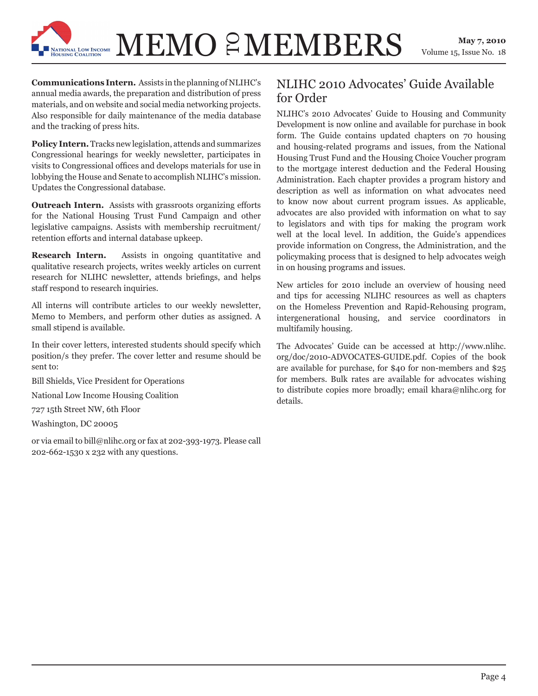## $\mathbf{MEMO} \ \mathcal{E}\mathbf{MEMBERS} \quad \substack{\text{May 7, 2010} \\ \text{Volume 15, Issue No. 18}}$

Volume 15, Issue No. 18

**Communications Intern.** Assists in the planning of NLIHC's annual media awards, the preparation and distribution of press materials, and on website and social media networking projects. Also responsible for daily maintenance of the media database and the tracking of press hits.

TIONAL LOW INCOME

**Policy Intern.** Tracks new legislation, attends and summarizes Congressional hearings for weekly newsletter, participates in visits to Congressional offices and develops materials for use in lobbying the House and Senate to accomplish NLIHC's mission. Updates the Congressional database.

**Outreach Intern.** Assists with grassroots organizing efforts for the National Housing Trust Fund Campaign and other legislative campaigns. Assists with membership recruitment/ retention efforts and internal database upkeep.

**Research Intern.** Assists in ongoing quantitative and qualitative research projects, writes weekly articles on current research for NLIHC newsletter, attends briefings, and helps staff respond to research inquiries.

All interns will contribute articles to our weekly newsletter, Memo to Members, and perform other duties as assigned. A small stipend is available.

In their cover letters, interested students should specify which position/s they prefer. The cover letter and resume should be sent to:

Bill Shields, Vice President for Operations

National Low Income Housing Coalition

727 15th Street NW, 6th Floor

Washington, DC 20005

or via email to bill@nlihc.org or fax at 202-393-1973. Please call 202-662-1530 x 232 with any questions.

#### NLIHC 2010 Advocates' Guide Available for Order

NLIHC's 2010 Advocates' Guide to Housing and Community Development is now online and available for purchase in book form. The Guide contains updated chapters on 70 housing and housing-related programs and issues, from the National Housing Trust Fund and the Housing Choice Voucher program to the mortgage interest deduction and the Federal Housing Administration. Each chapter provides a program history and description as well as information on what advocates need to know now about current program issues. As applicable, advocates are also provided with information on what to say to legislators and with tips for making the program work well at the local level. In addition, the Guide's appendices provide information on Congress, the Administration, and the policymaking process that is designed to help advocates weigh in on housing programs and issues.

New articles for 2010 include an overview of housing need and tips for accessing NLIHC resources as well as chapters on the Homeless Prevention and Rapid-Rehousing program, intergenerational housing, and service coordinators in multifamily housing.

The Advocates' Guide can be accessed at http://www.nlihc. org/doc/2010-ADVOCATES-GUIDE.pdf. Copies of the book are available for purchase, for \$40 for non-members and \$25 for members. Bulk rates are available for advocates wishing to distribute copies more broadly; email khara@nlihc.org for details.